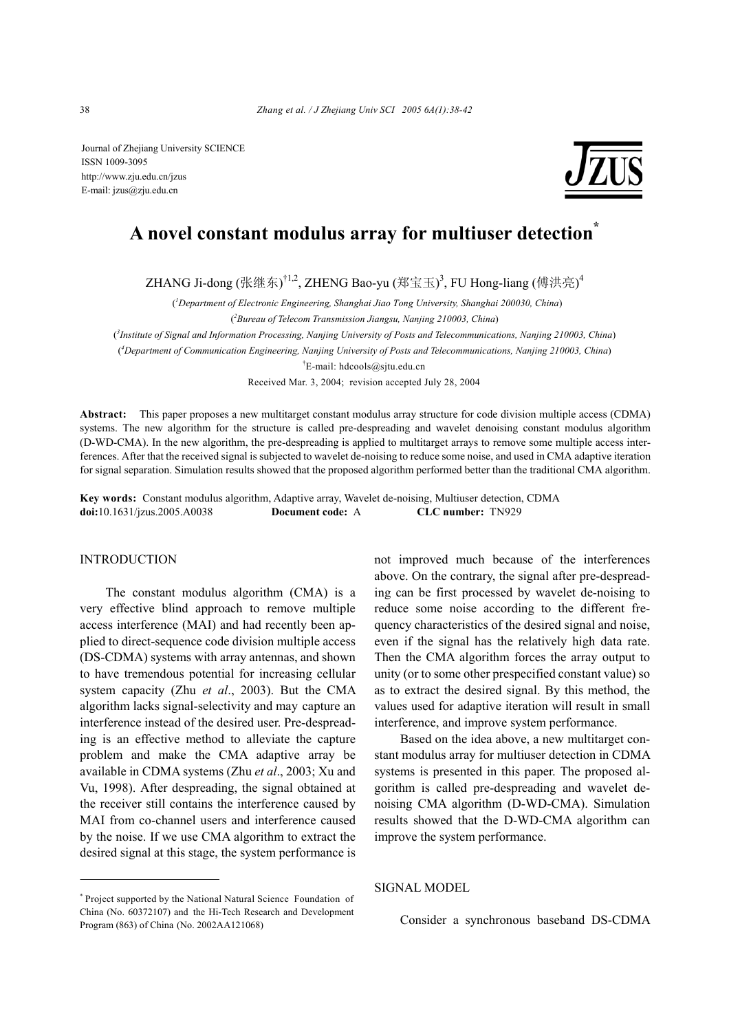Journal of Zhejiang University SCIENCE ISSN 1009-3095 http://www.zju.edu.cn/jzus E-mail: jzus@zju.edu.cn



# **A novel constant modulus array for multiuser detection\***

ZHANG Ji-dong (张继东)<sup>†1,2</sup>, ZHENG Bao-yu (郑宝玉)<sup>3</sup>, FU Hong-liang (傅洪亮)<sup>4</sup>

( *1 Department of Electronic Engineering, Shanghai Jiao Tong University, Shanghai 200030, China*) ( *2 Bureau of Telecom Transmission Jiangsu, Nanjing 210003, China*)

( *3 Institute of Signal and Information Processing, Nanjing University of Posts and Telecommunications, Nanjing 210003, China*)

( *4 Department of Communication Engineering, Nanjing University of Posts and Telecommunications, Nanjing 210003, China*)

† E-mail: hdcools@sjtu.edu.cn

Received Mar. 3, 2004; revision accepted July 28, 2004

**Abstract:** This paper proposes a new multitarget constant modulus array structure for code division multiple access (CDMA) systems. The new algorithm for the structure is called pre-despreading and wavelet denoising constant modulus algorithm (D-WD-CMA). In the new algorithm, the pre-despreading is applied to multitarget arrays to remove some multiple access interferences. After that the received signal is subjected to wavelet de-noising to reduce some noise, and used in CMA adaptive iteration for signal separation. Simulation results showed that the proposed algorithm performed better than the traditional CMA algorithm.

**Key words:** Constant modulus algorithm, Adaptive array, Wavelet de-noising, Multiuser detection, CDMA **doi:**10.1631/jzus.2005.A0038 **Document code:** A **CLC number:** TN929

## INTRODUCTION

The constant modulus algorithm (CMA) is a very effective blind approach to remove multiple access interference (MAI) and had recently been applied to direct-sequence code division multiple access (DS-CDMA) systems with array antennas, and shown to have tremendous potential for increasing cellular system capacity (Zhu *et al*., 2003). But the CMA algorithm lacks signal-selectivity and may capture an interference instead of the desired user. Pre-despreading is an effective method to alleviate the capture problem and make the CMA adaptive array be available in CDMA systems (Zhu *et al*., 2003; Xu and Vu, 1998). After despreading, the signal obtained at the receiver still contains the interference caused by MAI from co-channel users and interference caused by the noise. If we use CMA algorithm to extract the desired signal at this stage, the system performance is

\* Project supported by the National Natural Science Foundation of China (No. 60372107) and the Hi-Tech Research and Development Program (863) of China (No. 2002AA121068)

not improved much because of the interferences above. On the contrary, the signal after pre-despreading can be first processed by wavelet de-noising to reduce some noise according to the different frequency characteristics of the desired signal and noise, even if the signal has the relatively high data rate. Then the CMA algorithm forces the array output to unity (or to some other prespecified constant value) so as to extract the desired signal. By this method, the values used for adaptive iteration will result in small interference, and improve system performance.

Based on the idea above, a new multitarget constant modulus array for multiuser detection in CDMA systems is presented in this paper. The proposed algorithm is called pre-despreading and wavelet denoising CMA algorithm (D-WD-CMA). Simulation results showed that the D-WD-CMA algorithm can improve the system performance.

SIGNAL MODEL

Consider a synchronous baseband DS-CDMA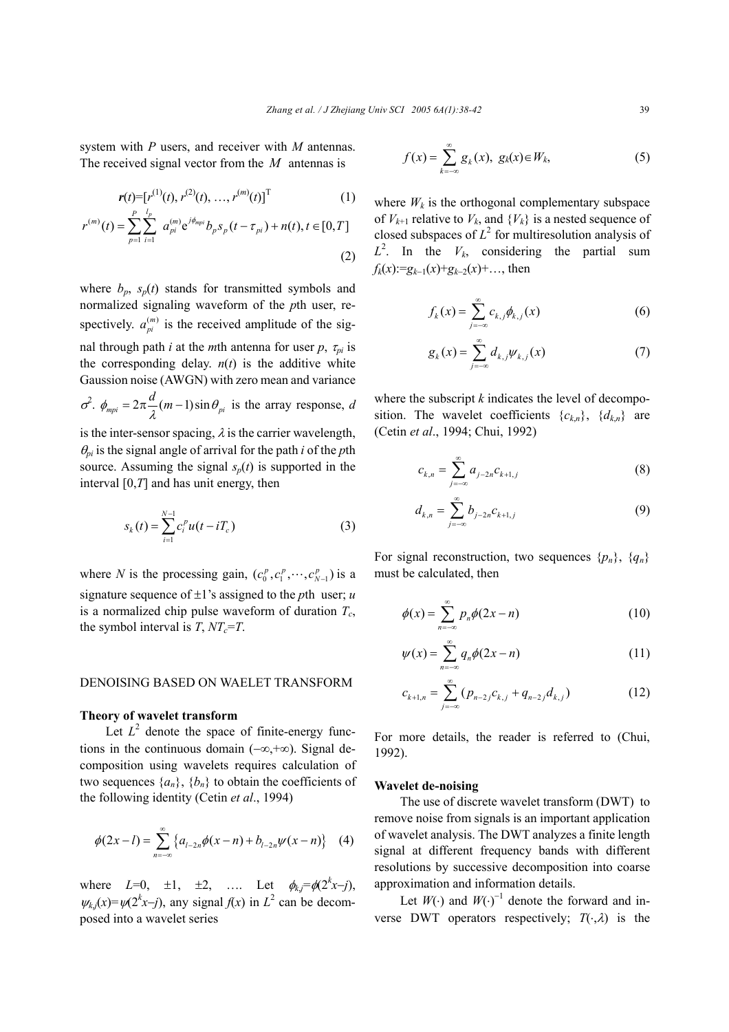system with *P* users, and receiver with *M* antennas. The received signal vector from the *M* antennas is

$$
\mathbf{r}(t) = [r^{(1)}(t), r^{(2)}(t), \dots, r^{(m)}(t)]^T
$$
 (1)

$$
r^{(m)}(t) = \sum_{p=1}^{P} \sum_{i=1}^{l_p} a_{pi}^{(m)} e^{j\phi_{mpi}} b_p s_p(t - \tau_{pi}) + n(t), t \in [0, T]
$$

(2)

where  $b_p$ ,  $s_p(t)$  stands for transmitted symbols and normalized signaling waveform of the *p*th user, respectively.  $a_{pi}^{(m)}$  is the received amplitude of the signal through path *i* at the *m*th antenna for user *p*,  $\tau_{pi}$  is the corresponding delay.  $n(t)$  is the additive white Gaussion noise (AWGN) with zero mean and variance  $\sigma^2$ .  $\phi_{mpi} = 2\pi \frac{d}{\lambda}(m-1)\sin\theta_{pi}$  is the array response, *d* is the inter-sensor spacing,  $\lambda$  is the carrier wavelength,

 $\theta_{pi}$  is the signal angle of arrival for the path *i* of the *p*th source. Assuming the signal  $s_p(t)$  is supported in the interval [0,*T*] and has unit energy, then

$$
s_k(t) = \sum_{i=1}^{N-1} c_i^p u(t - iT_c)
$$
 (3)

where *N* is the processing gain,  $(c_0^p, c_1^p, \dots, c_{N-1}^p)$  is a signature sequence of ±1's assigned to the *p*th user; *u*  is a normalized chip pulse waveform of duration  $T_c$ , the symbol interval is  $T$ ,  $NT_c = T$ .

# DENOISING BASED ON WAELET TRANSFORM

### **Theory of wavelet transform**

Let  $L^2$  denote the space of finite-energy functions in the continuous domain (−∞,+∞). Signal decomposition using wavelets requires calculation of two sequences  $\{a_n\}$ ,  $\{b_n\}$  to obtain the coefficients of the following identity (Cetin *et al*., 1994)

$$
\phi(2x-l) = \sum_{n=-\infty}^{\infty} \left\{ a_{l-2n} \phi(x-n) + b_{l-2n} \psi(x-n) \right\} \quad (4)
$$

where  $L=0$ ,  $\pm 1$ ,  $\pm 2$ , .... Let  $\phi_{k,j} = \phi(2^k x - j)$ ,  $\psi_{k,j}(x) = \psi(2^k x - j)$ , any signal  $f(x)$  in  $L^2$  can be decomposed into a wavelet series

$$
f(x) = \sum_{k=-\infty}^{\infty} g_k(x), \ g_k(x) \in W_k,
$$
 (5)

where  $W_k$  is the orthogonal complementary subspace of  $V_{k+1}$  relative to  $V_k$ , and  $\{V_k\}$  is a nested sequence of closed subspaces of  $L^2$  for multiresolution analysis of  $L^2$ . In the  $V_k$ , considering the partial sum  $f_k(x) := g_{k-1}(x) + g_{k-2}(x) + \ldots$ , then

$$
f_k(x) = \sum_{j=-\infty}^{\infty} c_{k,j} \phi_{k,j}(x)
$$
 (6)

$$
g_k(x) = \sum_{j=-\infty}^{\infty} d_{k,j} \psi_{k,j}(x) \tag{7}
$$

where the subscript *k* indicates the level of decomposition. The wavelet coefficients  ${c_k}_n$ ,  ${d_k}_n$  are (Cetin *et al*., 1994; Chui, 1992)

$$
c_{k,n} = \sum_{j=-\infty}^{\infty} a_{j-2n} c_{k+1,j}
$$
 (8)

$$
d_{k,n} = \sum_{j=-\infty}^{\infty} b_{j-2n} c_{k+1,j}
$$
 (9)

For signal reconstruction, two sequences  $\{p_n\}$ ,  $\{q_n\}$ must be calculated, then

$$
\phi(x) = \sum_{n=-\infty}^{\infty} p_n \phi(2x - n)
$$
\n(10)

$$
\psi(x) = \sum_{n=-\infty}^{\infty} q_n \phi(2x - n)
$$
 (11)

$$
c_{k+1,n} = \sum_{j=-\infty}^{\infty} (p_{n-2j}c_{k,j} + q_{n-2j}d_{k,j})
$$
 (12)

For more details, the reader is referred to (Chui, 1992).

# **Wavelet de-noising**

The use of discrete wavelet transform (DWT) to remove noise from signals is an important application of wavelet analysis. The DWT analyzes a finite length signal at different frequency bands with different resolutions by successive decomposition into coarse approximation and information details.

Let  $W(\cdot)$  and  $W(\cdot)^{-1}$  denote the forward and inverse DWT operators respectively;  $T(\cdot, \lambda)$  is the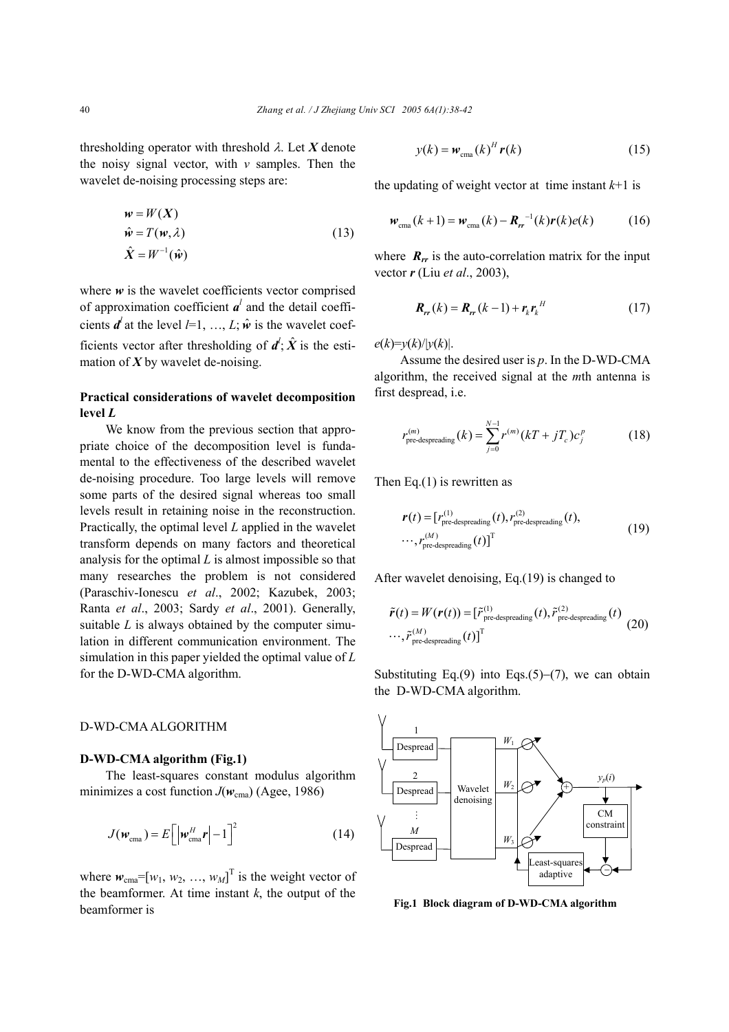thresholding operator with threshold λ. Let *X* denote the noisy signal vector, with *v* samples. Then the wavelet de-noising processing steps are:

$$
w = W(X)
$$
  
\n
$$
\hat{w} = T(w, \lambda)
$$
  
\n
$$
\hat{X} = W^{-1}(\hat{w})
$$
\n(13)

where  $w$  is the wavelet coefficients vector comprised of approximation coefficient  $a^l$  and the detail coefficients  $\mathbf{d}^{l}$  at the level  $l=1, ..., L$ ;  $\hat{\mathbf{w}}$  is the wavelet coefficients vector after thresholding of  $d^l$ ;  $\hat{X}$  is the estimation of  $X$  by wavelet de-noising.

# **Practical considerations of wavelet decomposition level** *L*

We know from the previous section that appropriate choice of the decomposition level is fundamental to the effectiveness of the described wavelet de-noising procedure. Too large levels will remove some parts of the desired signal whereas too small levels result in retaining noise in the reconstruction. Practically, the optimal level *L* applied in the wavelet transform depends on many factors and theoretical analysis for the optimal *L* is almost impossible so that many researches the problem is not considered (Paraschiv-Ionescu *et al*., 2002; Kazubek, 2003; Ranta *et al*., 2003; Sardy *et al*., 2001). Generally, suitable *L* is always obtained by the computer simulation in different communication environment. The simulation in this paper yielded the optimal value of *L* for the D-WD-CMA algorithm.

#### D-WD-CMA ALGORITHM

# **D-WD-CMA algorithm (Fig.1)**

The least-squares constant modulus algorithm minimizes a cost function  $J(w_{\text{cma}})$  (Agee, 1986)

$$
J(\boldsymbol{w}_{\text{cma}}) = E\left[\left|\boldsymbol{w}_{\text{cma}}^H \boldsymbol{r}\right| - 1\right]^2 \tag{14}
$$

where  $w_{\text{cma}} = [w_1, w_2, ..., w_M]^\text{T}$  is the weight vector of the beamformer. At time instant  $k$ , the output of the beamformer is

$$
y(k) = w_{\text{cma}}(k)^H r(k)
$$
 (15)

the updating of weight vector at time instant  $k+1$  is

$$
w_{\text{cma}}(k+1) = w_{\text{cma}}(k) - R_{rr}^{-1}(k)r(k)e(k)
$$
 (16)

where  $R_{rr}$  is the auto-correlation matrix for the input vector *r* (Liu *et al*., 2003),

$$
\boldsymbol{R}_{rr}(k) = \boldsymbol{R}_{rr}(k-1) + \boldsymbol{r}_k \boldsymbol{r}_k^H \tag{17}
$$

 $e(k)=y(k)/|y(k)|$ .

Assume the desired user is *p*. In the D-WD-CMA algorithm, the received signal at the *m*th antenna is first despread, i.e.

$$
r_{\text{pre-despreading}}^{(m)}(k) = \sum_{j=0}^{N-1} r^{(m)}(kT + jT_c)c_j^p \tag{18}
$$

Then Eq. $(1)$  is rewritten as

$$
\mathbf{r}(t) = [r_{\text{pre-despreading}}^{(1)}(t), r_{\text{pre-despreading}}^{(2)}(t),
$$
  
..., 
$$
r_{\text{pre-despreading}}^{(M)}(t)]^{\text{T}}
$$
 (19)

After wavelet denoising, Eq.(19) is changed to

$$
\tilde{\boldsymbol{r}}(t) = W(\boldsymbol{r}(t)) = [\tilde{r}_{\text{pre-despreading}}^{(1)}(t), \tilde{r}_{\text{pre-despreading}}^{(2)}(t)]
$$

$$
\cdots, \tilde{r}_{\text{pre-despreading}}^{(M)}(t)]^{\text{T}}
$$
(20)

Substituting Eq.(9) into Eqs.(5)–(7), we can obtain the D-WD-CMA algorithm.



**Fig.1 Block diagram of D-WD-CMA algorithm**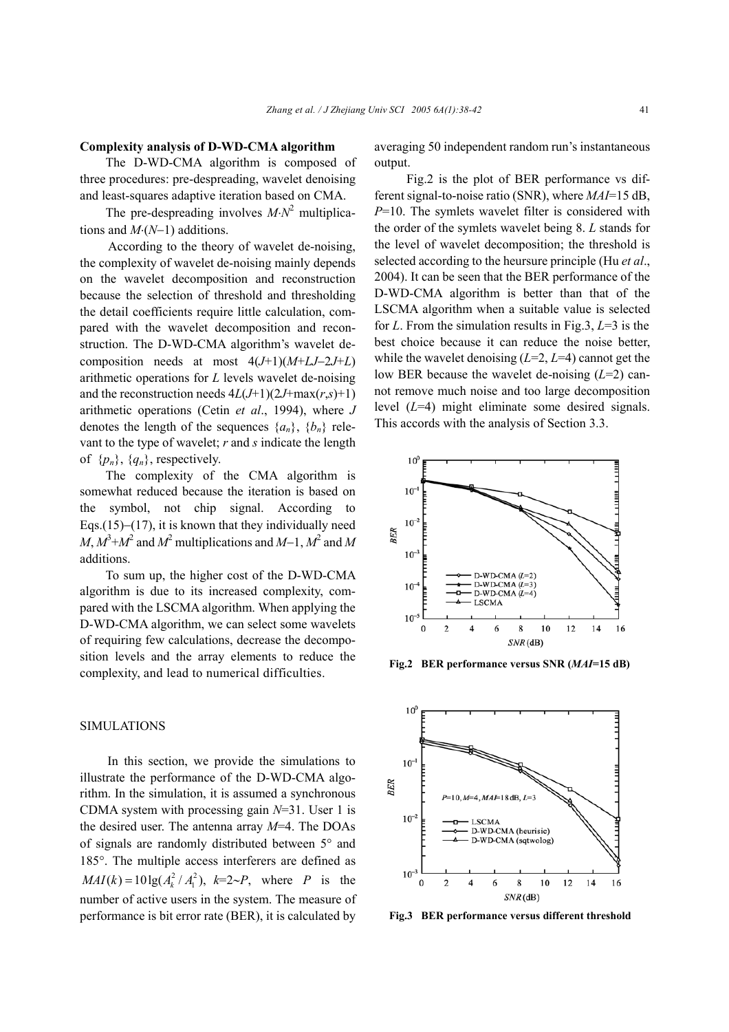#### **Complexity analysis of D-WD-CMA algorithm**

The D-WD-CMA algorithm is composed of three procedures: pre-despreading, wavelet denoising and least-squares adaptive iteration based on CMA.

The pre-despreading involves  $M \cdot N^2$  multiplications and *M*⋅(*N*−1) additions.

 According to the theory of wavelet de-noising, the complexity of wavelet de-noising mainly depends on the wavelet decomposition and reconstruction because the selection of threshold and thresholding the detail coefficients require little calculation, compared with the wavelet decomposition and reconstruction. The D-WD-CMA algorithm's wavelet decomposition needs at most 4(*J*+1)(*M*+*LJ*−2*J*+*L*) arithmetic operations for *L* levels wavelet de-noising and the reconstruction needs  $4L(J+1)(2J+\max(r,s)+1)$ arithmetic operations (Cetin *et al*., 1994), where *J*  denotes the length of the sequences  $\{a_n\}$ ,  $\{b_n\}$  relevant to the type of wavelet; *r* and *s* indicate the length of  $\{p_n\}$ ,  $\{q_n\}$ , respectively.

The complexity of the CMA algorithm is somewhat reduced because the iteration is based on the symbol, not chip signal. According to Eqs.(15)–(17), it is known that they individually need  $M$ ,  $M^3$ + $M^2$  and  $M^2$  multiplications and  $M$ −1,  $M^2$  and  $M$ additions.

To sum up, the higher cost of the D-WD-CMA algorithm is due to its increased complexity, compared with the LSCMA algorithm. When applying the D-WD-CMA algorithm, we can select some wavelets of requiring few calculations, decrease the decomposition levels and the array elements to reduce the complexity, and lead to numerical difficulties.

# SIMULATIONS

 In this section, we provide the simulations to illustrate the performance of the D-WD-CMA algorithm. In the simulation, it is assumed a synchronous CDMA system with processing gain *N*=31. User 1 is the desired user. The antenna array *M*=4. The DOAs of signals are randomly distributed between 5° and 185°. The multiple access interferers are defined as  $MAI(k) = 10 \lg(A_k^2 / A_1^2), k=2~P$ , where *P* is the number of active users in the system. The measure of performance is bit error rate (BER), it is calculated by

averaging 50 independent random run's instantaneous output.

 Fig.2 is the plot of BER performance vs different signal-to-noise ratio (SNR), where *MAI*=15 dB, *P*=10. The symlets wavelet filter is considered with the order of the symlets wavelet being 8. *L* stands for the level of wavelet decomposition; the threshold is selected according to the heursure principle (Hu *et al*., 2004). It can be seen that the BER performance of the D-WD-CMA algorithm is better than that of the LSCMA algorithm when a suitable value is selected for *L*. From the simulation results in Fig.3, *L*=3 is the best choice because it can reduce the noise better, while the wavelet denoising (*L*=2, *L*=4) cannot get the low BER because the wavelet de-noising (*L*=2) cannot remove much noise and too large decomposition level (*L*=4) might eliminate some desired signals. This accords with the analysis of Section 3.3.



**Fig.2 BER performance versus SNR (***MAI***=15 dB)**



**Fig.3 BER performance versus different threshold**